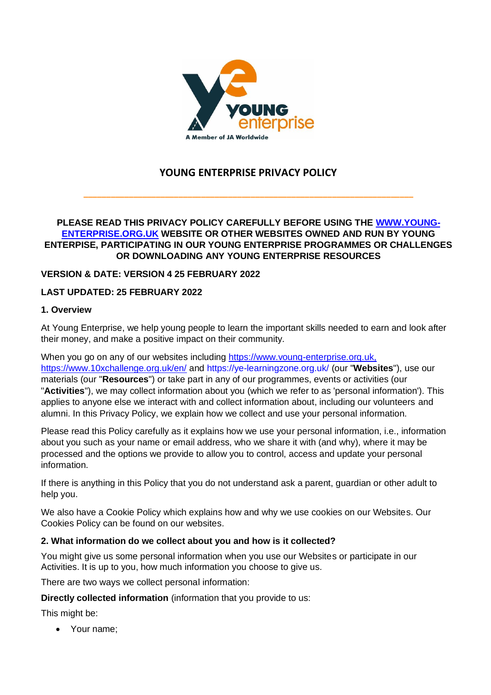

# **YOUNG ENTERPRISE PRIVACY POLICY**

**\_\_\_\_\_\_\_\_\_\_\_\_\_\_\_\_\_\_\_\_\_\_\_\_\_\_\_\_\_\_\_\_\_\_\_\_\_\_\_\_\_\_\_\_\_\_\_\_\_\_\_\_\_\_\_\_\_\_\_\_\_\_\_\_\_\_\_\_\_\_\_\_\_** 

### **PLEASE READ THIS PRIVACY POLICY CAREFULLY BEFORE USING THE [WWW.YOUNG-](http://www.young-enterprise.org.uk/)[ENTERPRISE.ORG.UK](http://www.young-enterprise.org.uk/) WEBSITE OR OTHER WEBSITES OWNED AND RUN BY YOUNG ENTERPISE, PARTICIPATING IN OUR YOUNG ENTERPRISE PROGRAMMES OR CHALLENGES OR DOWNLOADING ANY YOUNG ENTERPRISE RESOURCES**

## **VERSION & DATE: VERSION 4 25 FEBRUARY 2022**

## **LAST UPDATED: 25 FEBRUARY 2022**

### **1. Overview**

At Young Enterprise, we help young people to learn the important skills needed to earn and look after their money, and make a positive impact on their community.

When you go on any of our websites including https://www.young-enterprise.org.uk, <https://www.10xchallenge.org.uk/en/> and https://ye-learningzone.org.uk/ (our "**Websites**"), use our materials (our "**Resources**") or take part in any of our programmes, events or activities (our "**Activities**"), we may collect information about you (which we refer to as 'personal information'). This applies to anyone else we interact with and collect information about, including our volunteers and alumni. In this Privacy Policy, we explain how we collect and use your personal information.

Please read this Policy carefully as it explains how we use your personal information, i.e., information about you such as your name or email address, who we share it with (and why), where it may be processed and the options we provide to allow you to control, access and update your personal information.

If there is anything in this Policy that you do not understand ask a parent, guardian or other adult to help you.

We also have a Cookie Policy which explains how and why we use cookies on our Websites. Our Cookies Policy can be found on our websites.

## **2. What information do we collect about you and how is it collected?**

You might give us some personal information when you use our Websites or participate in our Activities. It is up to you, how much information you choose to give us.

There are two ways we collect personal information:

**Directly collected information** (information that you provide to us:

This might be:

• Your name;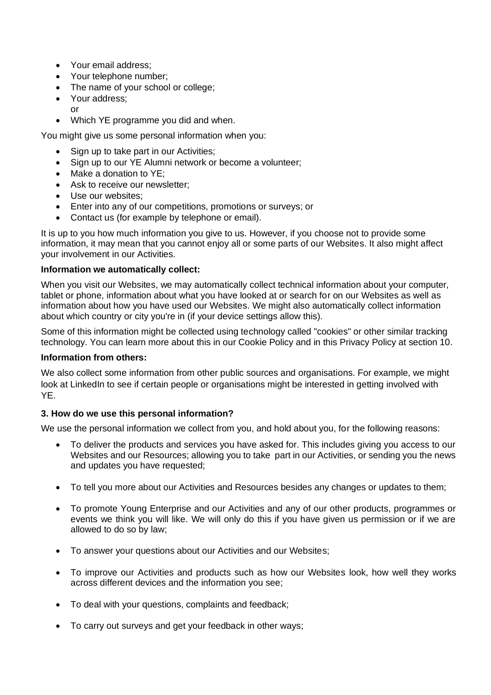- Your email address:
- Your telephone number;
- The name of your school or college:
- Your address; or
- Which YE programme you did and when.

You might give us some personal information when you:

- Sign up to take part in our Activities;
- Sign up to our YE Alumni network or become a volunteer;
- Make a donation to YE;
- Ask to receive our newsletter;
- Use our websites:
- Enter into any of our competitions, promotions or surveys; or
- Contact us (for example by telephone or email).

It is up to you how much information you give to us. However, if you choose not to provide some information, it may mean that you cannot enjoy all or some parts of our Websites. It also might affect your involvement in our Activities.

## **Information we automatically collect:**

When you visit our Websites, we may automatically collect technical information about your computer, tablet or phone, information about what you have looked at or search for on our Websites as well as information about how you have used our Websites. We might also automatically collect information about which country or city you're in (if your device settings allow this).

Some of this information might be collected using technology called "cookies" or other similar tracking technology. You can learn more about this in our Cookie Policy and in this Privacy Policy at section 10.

### **Information from others:**

We also collect some information from other public sources and organisations. For example, we might look at LinkedIn to see if certain people or organisations might be interested in getting involved with YE.

## **3. How do we use this personal information?**

We use the personal information we collect from you, and hold about you, for the following reasons:

- To deliver the products and services you have asked for. This includes giving you access to our Websites and our Resources; allowing you to take part in our Activities, or sending you the news and updates you have requested;
- To tell you more about our Activities and Resources besides any changes or updates to them;
- To promote Young Enterprise and our Activities and any of our other products, programmes or events we think you will like. We will only do this if you have given us permission or if we are allowed to do so by law;
- To answer your questions about our Activities and our Websites;
- To improve our Activities and products such as how our Websites look, how well they works across different devices and the information you see;
- To deal with your questions, complaints and feedback;
- To carry out surveys and get your feedback in other ways;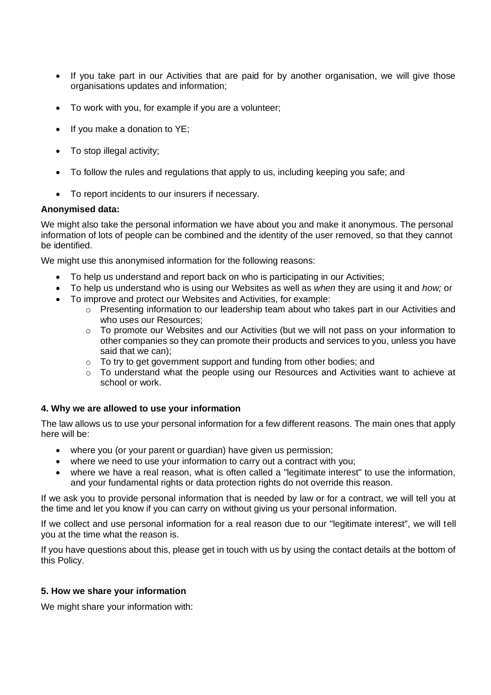- If you take part in our Activities that are paid for by another organisation, we will give those organisations updates and information;
- To work with you, for example if you are a volunteer;
- If you make a donation to YE;
- To stop illegal activity;
- To follow the rules and regulations that apply to us, including keeping you safe; and
- To report incidents to our insurers if necessary.

#### **Anonymised data:**

We might also take the personal information we have about you and make it anonymous. The personal information of lots of people can be combined and the identity of the user removed, so that they cannot be identified.

We might use this anonymised information for the following reasons:

- To help us understand and report back on who is participating in our Activities;
- To help us understand who is using our Websites as well as *when* they are using it and *how;* or
- To improve and protect our Websites and Activities, for example:
	- o Presenting information to our leadership team about who takes part in our Activities and who uses our Resources;
	- o To promote our Websites and our Activities (but we will not pass on your information to other companies so they can promote their products and services to you, unless you have said that we can);
	- o To try to get government support and funding from other bodies; and
	- o To understand what the people using our Resources and Activities want to achieve at school or work.

#### **4. Why we are allowed to use your information**

The law allows us to use your personal information for a few different reasons. The main ones that apply here will be:

- where you (or your parent or guardian) have given us permission;
- where we need to use your information to carry out a contract with you;
- where we have a real reason, what is often called a "legitimate interest" to use the information, and your fundamental rights or data protection rights do not override this reason.

If we ask you to provide personal information that is needed by law or for a contract, we will tell you at the time and let you know if you can carry on without giving us your personal information.

If we collect and use personal information for a real reason due to our "legitimate interest", we will tell you at the time what the reason is.

If you have questions about this, please get in touch with us by using the contact details at the bottom of this Policy.

#### **5. How we share your information**

We might share your information with: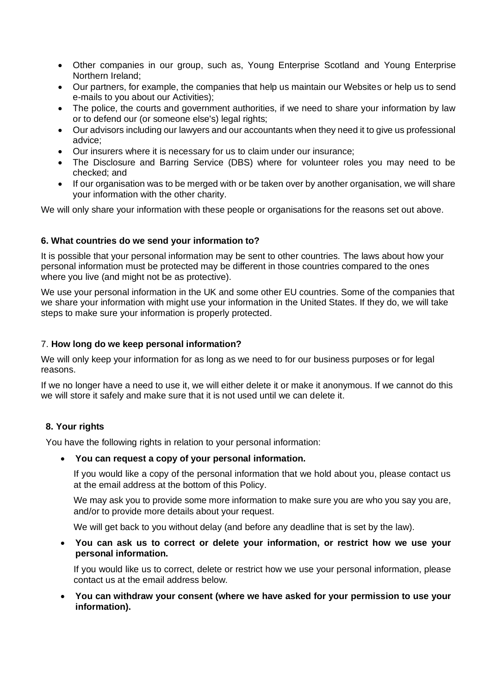- Other companies in our group, such as, Young Enterprise Scotland and Young Enterprise Northern Ireland;
- Our partners, for example, the companies that help us maintain our Websites or help us to send e-mails to you about our Activities);
- The police, the courts and government authorities, if we need to share your information by law or to defend our (or someone else's) legal rights;
- Our advisors including our lawyers and our accountants when they need it to give us professional advice;
- Our insurers where it is necessary for us to claim under our insurance;
- The Disclosure and Barring Service (DBS) where for volunteer roles you may need to be checked; and
- If our organisation was to be merged with or be taken over by another organisation, we will share your information with the other charity.

We will only share your information with these people or organisations for the reasons set out above.

#### **6. What countries do we send your information to?**

It is possible that your personal information may be sent to other countries. The laws about how your personal information must be protected may be different in those countries compared to the ones where you live (and might not be as protective).

We use your personal information in the UK and some other EU countries. Some of the companies that we share your information with might use your information in the United States. If they do, we will take steps to make sure your information is properly protected.

#### 7. **How long do we keep personal information?**

We will only keep your information for as long as we need to for our business purposes or for legal reasons.

If we no longer have a need to use it, we will either delete it or make it anonymous. If we cannot do this we will store it safely and make sure that it is not used until we can delete it.

#### **8. Your rights**

You have the following rights in relation to your personal information:

#### • **You can request a copy of your personal information.**

If you would like a copy of the personal information that we hold about you, please contact us at the email address at the bottom of this Policy.

We may ask you to provide some more information to make sure you are who you say you are, and/or to provide more details about your request.

We will get back to you without delay (and before any deadline that is set by the law).

• **You can ask us to correct or delete your information, or restrict how we use your personal information.**

If you would like us to correct, delete or restrict how we use your personal information, please contact us at the email address below.

• **You can withdraw your consent (where we have asked for your permission to use your information).**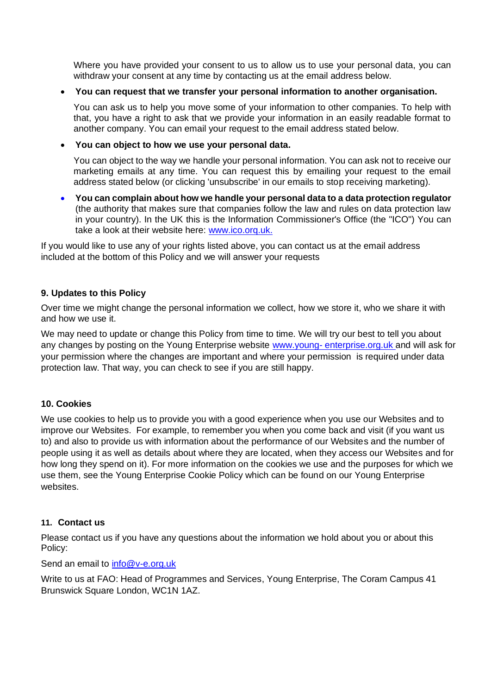Where you have provided your consent to us to allow us to use your personal data, you can withdraw your consent at any time by contacting us at the email address below.

### • **You can request that we transfer your personal information to another organisation.**

You can ask us to help you move some of your information to other companies. To help with that, you have a right to ask that we provide your information in an easily readable format to another company. You can email your request to the email address stated below.

### • **You can object to how we use your personal data.**

You can object to the way we handle your personal information. You can ask not to receive our marketing emails at any time. You can request this by emailing your request to the email address stated below (or clicking 'unsubscribe' in our emails to stop receiving marketing).

• **You can complain about how we handle your personal data to a data protection regulator**  (the authority that makes sure that companies follow the law and rules on data protection law in your country). In the UK this is the Information Commissioner's Office (the "ICO") You can take a look at their website here: [www.ico.orq.uk.](http://www.ico.orq.uk/)

If you would like to use any of your rights listed above, you can contact us at the email address included at the bottom of this Policy and we will answer your requests

## **9. Updates to this Policy**

Over time we might change the personal information we collect, how we store it, who we share it with and how we use it.

We may need to update or change this Policy from time to time. We will try our best to tell you about any changes by posting on the Young Enterprise website www.young- [enterprise.org.uk](http://www.young-enterprise.org.uk/) and will ask for your permission where the changes are important and where your permission is required under data protection law. That way, you can check to see if you are still happy.

#### **10. Cookies**

We use cookies to help us to provide you with a good experience when you use our Websites and to improve our Websites. For example, to remember you when you come back and visit (if you want us to) and also to provide us with information about the performance of our Websites and the number of people using it as well as details about where they are located, when they access our Websites and for how long they spend on it). For more information on the cookies we use and the purposes for which we use them, see the Young Enterprise Cookie Policy which can be found on our Young Enterprise websites.

#### **11. Contact us**

Please contact us if you have any questions about the information we hold about you or about this Policy:

Send an email to [info@v-e.org.uk](mailto:info@v-e.org.uk)

Write to us at FAO: Head of Programmes and Services, Young Enterprise, The Coram Campus 41 Brunswick Square London, WC1N 1AZ.